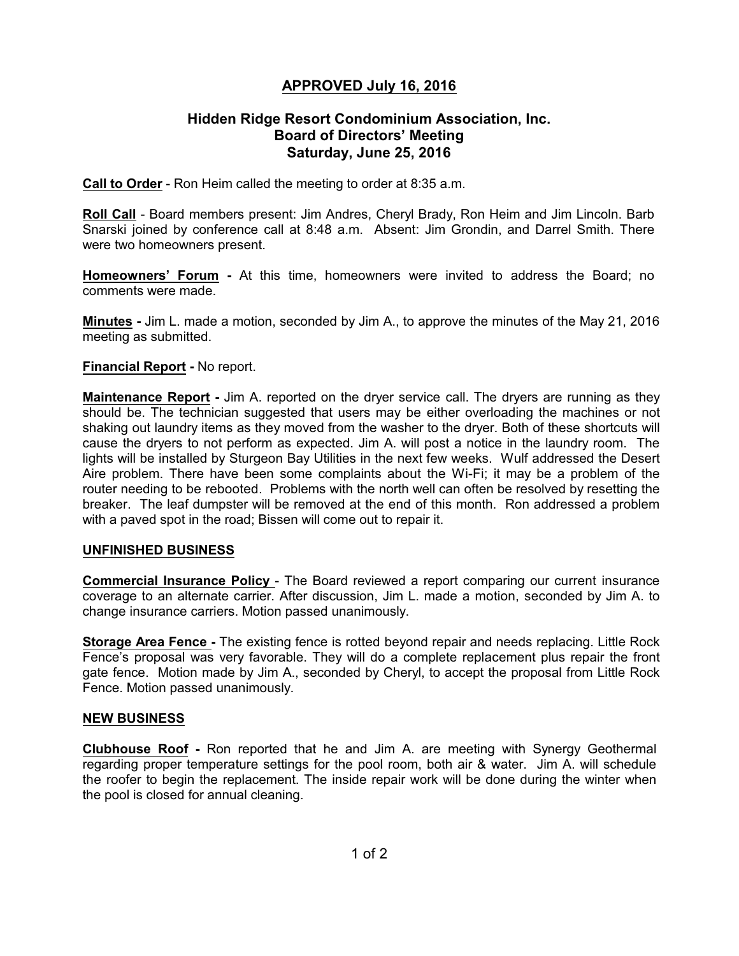# **APPROVED July 16, 2016**

## **Hidden Ridge Resort Condominium Association, Inc. Board of Directors' Meeting Saturday, June 25, 2016**

**Call to Order** - Ron Heim called the meeting to order at 8:35 a.m.

**Roll Call** - Board members present: Jim Andres, Cheryl Brady, Ron Heim and Jim Lincoln. Barb Snarski joined by conference call at 8:48 a.m. Absent: Jim Grondin, and Darrel Smith. There were two homeowners present.

**Homeowners' Forum -** At this time, homeowners were invited to address the Board; no comments were made.

**Minutes -** Jim L. made a motion, seconded by Jim A., to approve the minutes of the May 21, 2016 meeting as submitted.

#### **Financial Report -** No report.

**Maintenance Report -** Jim A. reported on the dryer service call. The dryers are running as they should be. The technician suggested that users may be either overloading the machines or not shaking out laundry items as they moved from the washer to the dryer. Both of these shortcuts will cause the dryers to not perform as expected. Jim A. will post a notice in the laundry room. The lights will be installed by Sturgeon Bay Utilities in the next few weeks. Wulf addressed the Desert Aire problem. There have been some complaints about the Wi-Fi; it may be a problem of the router needing to be rebooted. Problems with the north well can often be resolved by resetting the breaker. The leaf dumpster will be removed at the end of this month. Ron addressed a problem with a paved spot in the road; Bissen will come out to repair it.

### **UNFINISHED BUSINESS**

**Commercial Insurance Policy** - The Board reviewed a report comparing our current insurance coverage to an alternate carrier. After discussion, Jim L. made a motion, seconded by Jim A. to change insurance carriers. Motion passed unanimously.

**Storage Area Fence -** The existing fence is rotted beyond repair and needs replacing. Little Rock Fence's proposal was very favorable. They will do a complete replacement plus repair the front gate fence. Motion made by Jim A., seconded by Cheryl, to accept the proposal from Little Rock Fence. Motion passed unanimously.

#### **NEW BUSINESS**

**Clubhouse Roof -** Ron reported that he and Jim A. are meeting with Synergy Geothermal regarding proper temperature settings for the pool room, both air & water. Jim A. will schedule the roofer to begin the replacement. The inside repair work will be done during the winter when the pool is closed for annual cleaning.